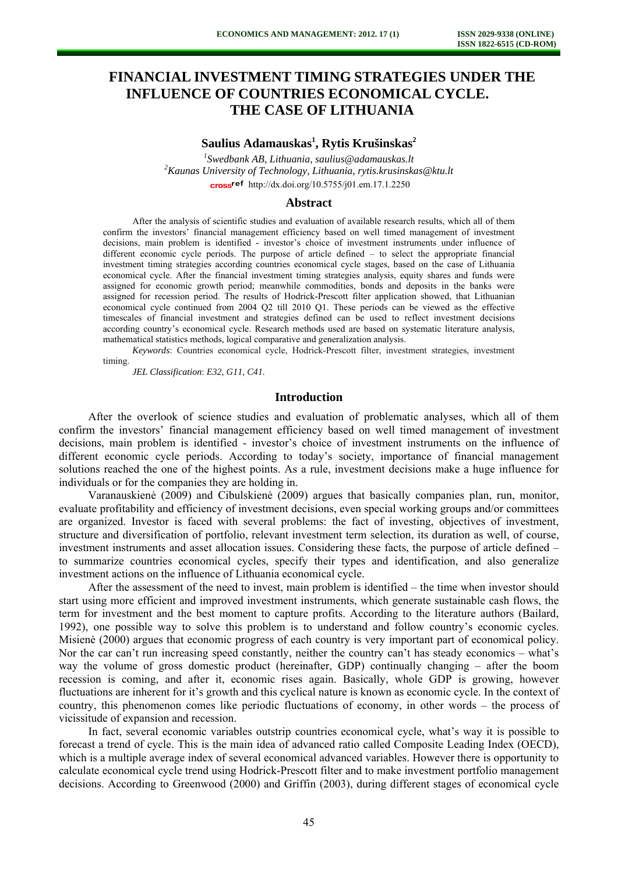# **FINANCIAL INVESTMENT TIMING STRATEGIES UNDER THE INFLUENCE OF COUNTRIES ECONOMICAL CYCLE. THE CASE OF LITHUANIA**

# $S$ aulius Adamauskas<sup>1</sup>, Rytis Krušinskas<sup>2</sup>

<sup>1</sup> Swedbank AB, Lithuania, saulius@adamauskas.lt<br><sup>2</sup> Kaunas University of Technology, Lithuania, mytic knusinski *Kaunas University of Technology, Lithuania, rytis.krusinskas@ktu.lt*  cross<sup>ref</sup> [http://dx.doi.org/10.5755/j01.e](http://dx.doi.org/10.5755/j01.em.17.1.2250)m.17.1.2250

#### **Abstract**

After the analysis of scientific studies and evaluation of available research results, which all of them confirm the investors' financial management efficiency based on well timed management of investment decisions, main problem is identified - investor's choice of investment instruments under influence of different economic cycle periods. The purpose of article defined – to select the appropriate financial investment timing strategies according countries economical cycle stages, based on the case of Lithuania economical cycle. After the financial investment timing strategies analysis, equity shares and funds were assigned for economic growth period; meanwhile commodities, bonds and deposits in the banks were assigned for recession period. The results of Hodrick-Prescott filter application showed, that Lithuanian economical cycle continued from 2004 Q2 till 2010 Q1. These periods can be viewed as the effective timescales of financial investment and strategies defined can be used to reflect investment decisions according country's economical cycle. Research methods used are based on systematic literature analysis, mathematical statistics methods, logical comparative and generalization analysis.

*Keywords*: Countries economical cycle, Hodrick-Prescott filter, investment strategies, investment timing.

*JEL Classification*: *E32, G11, C41.*

### **Introduction**

After the overlook of science studies and evaluation of problematic analyses, which all of them confirm the investors' financial management efficiency based on well timed management of investment decisions, main problem is identified - investor's choice of investment instruments on the influence of different economic cycle periods. According to today's society, importance of financial management solutions reached the one of the highest points. As a rule, investment decisions make a huge influence for individuals or for the companies they are holding in.

Varanauskienė (2009) and Cibulskienė (2009) argues that basically companies plan, run, monitor, evaluate profitability and efficiency of investment decisions, even special working groups and/or committees are organized. Investor is faced with several problems: the fact of investing, objectives of investment, structure and diversification of portfolio, relevant investment term selection, its duration as well, of course, investment instruments and asset allocation issues. Considering these facts, the purpose of article defined – to summarize countries economical cycles, specify their types and identification, and also generalize investment actions on the influence of Lithuania economical cycle.

After the assessment of the need to invest, main problem is identified – the time when investor should start using more efficient and improved investment instruments, which generate sustainable cash flows, the term for investment and the best moment to capture profits. According to the literature authors (Bailard, 1992), one possible way to solve this problem is to understand and follow country's economic cycles. Misienė (2000) argues that economic progress of each country is very important part of economical policy. Nor the car can't run increasing speed constantly, neither the country can't has steady economics – what's way the volume of gross domestic product (hereinafter, GDP) continually changing – after the boom recession is coming, and after it, economic rises again. Basically, whole GDP is growing, however fluctuations are inherent for it's growth and this cyclical nature is known as economic cycle. In the context of country, this phenomenon comes like periodic fluctuations of economy, in other words – the process of vicissitude of expansion and recession.

In fact, several economic variables outstrip countries economical cycle, what's way it is possible to forecast a trend of cycle. This is the main idea of advanced ratio called Composite Leading Index (OECD), which is a multiple average index of several economical advanced variables. However there is opportunity to calculate economical cycle trend using Hodrick-Prescott filter and to make investment portfolio management decisions. According to Greenwood (2000) and Griffin (2003), during different stages of economical cycle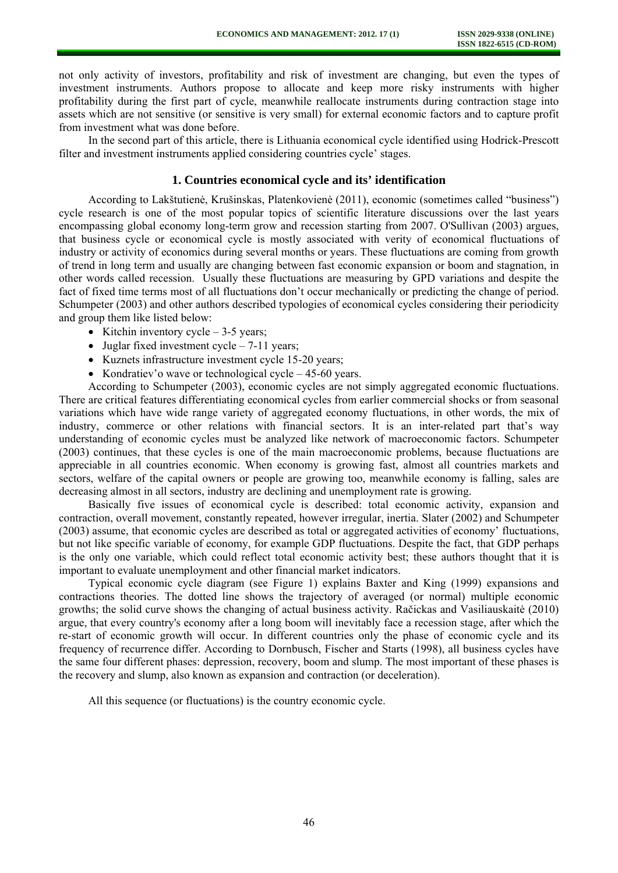not only activity of investors, profitability and risk of investment are changing, but even the types of investment instruments. Authors propose to allocate and keep more risky instruments with higher profitability during the first part of cycle, meanwhile reallocate instruments during contraction stage into assets which are not sensitive (or sensitive is very small) for external economic factors and to capture profit from investment what was done before.

In the second part of this article, there is Lithuania economical cycle identified using Hodrick-Prescott filter and investment instruments applied considering countries cycle' stages.

### **1. Countries economical cycle and its' identification**

According to Lakštutienė, Krušinskas, Platenkovienė (2011), economic (sometimes called "business") cycle research is one of the most popular topics of scientific literature discussions over the last years encompassing global economy long-term grow and recession starting from 2007. O'Sullivan (2003) argues, that business cycle or economical cycle is mostly associated with verity of economical fluctuations of industry or activity of economics during several months or years. These fluctuations are coming from growth of trend in long term and usually are changing between fast economic expansion or boom and stagnation, in other words called recession. Usually these fluctuations are measuring by GPD variations and despite the fact of fixed time terms most of all fluctuations don't occur mechanically or predicting the change of period. Schumpeter (2003) and other authors described typologies of economical cycles considering their periodicity and group them like listed below:

- Kitchin inventory  $\text{cycle} 3-5 \text{ years}$ ;
- Juglar fixed investment cycle  $-7-11$  years;
- Kuznets infrastructure investment cycle 15-20 years;
- Kondratiev'o wave or technological cycle 45-60 years.

According to Schumpeter (2003), economic cycles are not simply aggregated economic fluctuations. There are critical features differentiating economical cycles from earlier commercial shocks or from seasonal variations which have wide range variety of aggregated economy fluctuations, in other words, the mix of industry, commerce or other relations with financial sectors. It is an inter-related part that's way understanding of economic cycles must be analyzed like network of macroeconomic factors. Schumpeter (2003) continues, that these cycles is one of the main macroeconomic problems, because fluctuations are appreciable in all countries economic. When economy is growing fast, almost all countries markets and sectors, welfare of the capital owners or people are growing too, meanwhile economy is falling, sales are decreasing almost in all sectors, industry are declining and unemployment rate is growing.

Basically five issues of economical cycle is described: total economic activity, expansion and contraction, overall movement, constantly repeated, however irregular, inertia. Slater (2002) and Schumpeter (2003) assume, that economic cycles are described as total or aggregated activities of economy' fluctuations, but not like specific variable of economy, for example GDP fluctuations. Despite the fact, that GDP perhaps is the only one variable, which could reflect total economic activity best; these authors thought that it is important to evaluate unemployment and other financial market indicators.

Typical economic cycle diagram (see Figure 1) explains Baxter and King (1999) expansions and contractions theories. The dotted line shows the trajectory of averaged (or normal) multiple economic growths; the solid curve shows the changing of actual business activity. Račickas and Vasiliauskaitė (2010) argue, that every country's economy after a long boom will inevitably face a recession stage, after which the re-start of economic growth will occur. In different countries only the phase of economic cycle and its frequency of recurrence differ. According to Dornbusch, Fischer and Starts (1998), all business cycles have the same four different phases: depression, recovery, boom and slump. The most important of these phases is the recovery and slump, also known as expansion and contraction (or deceleration).

All this sequence (or fluctuations) is the country economic cycle.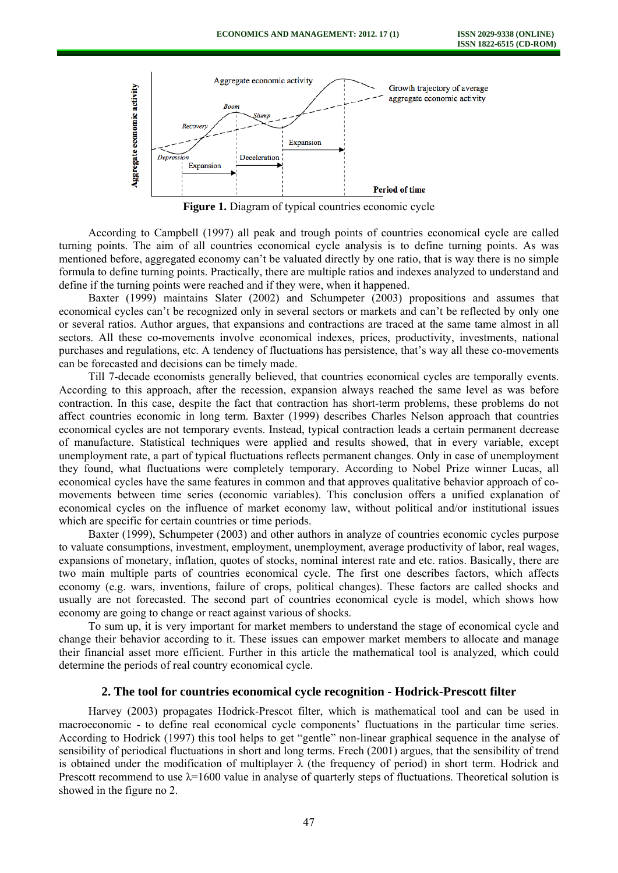

**Figure 1.** Diagram of typical countries economic cycle

According to Campbell (1997) all peak and trough points of countries economical cycle are called turning points. The aim of all countries economical cycle analysis is to define turning points. As was mentioned before, aggregated economy can't be valuated directly by one ratio, that is way there is no simple formula to define turning points. Practically, there are multiple ratios and indexes analyzed to understand and define if the turning points were reached and if they were, when it happened.

Baxter (1999) maintains Slater (2002) and Schumpeter (2003) propositions and assumes that economical cycles can't be recognized only in several sectors or markets and can't be reflected by only one or several ratios. Author argues, that expansions and contractions are traced at the same tame almost in all sectors. All these co-movements involve economical indexes, prices, productivity, investments, national purchases and regulations, etc. A tendency of fluctuations has persistence, that's way all these co-movements can be forecasted and decisions can be timely made.

Till 7-decade economists generally believed, that countries economical cycles are temporally events. According to this approach, after the recession, expansion always reached the same level as was before contraction. In this case, despite the fact that contraction has short-term problems, these problems do not affect countries economic in long term. Baxter (1999) describes Charles Nelson approach that countries economical cycles are not temporary events. Instead, typical contraction leads a certain permanent decrease of manufacture. Statistical techniques were applied and results showed, that in every variable, except unemployment rate, a part of typical fluctuations reflects permanent changes. Only in case of unemployment they found, what fluctuations were completely temporary. According to Nobel Prize winner Lucas, all economical cycles have the same features in common and that approves qualitative behavior approach of comovements between time series (economic variables). This conclusion offers a unified explanation of economical cycles on the influence of market economy law, without political and/or institutional issues which are specific for certain countries or time periods.

Baxter (1999), Schumpeter (2003) and other authors in analyze of countries economic cycles purpose to valuate consumptions, investment, employment, unemployment, average productivity of labor, real wages, expansions of monetary, inflation, quotes of stocks, nominal interest rate and etc. ratios. Basically, there are two main multiple parts of countries economical cycle. The first one describes factors, which affects economy (e.g. wars, inventions, failure of crops, political changes). These factors are called shocks and usually are not forecasted. The second part of countries economical cycle is model, which shows how economy are going to change or react against various of shocks.

To sum up, it is very important for market members to understand the stage of economical cycle and change their behavior according to it. These issues can empower market members to allocate and manage their financial asset more efficient. Further in this article the mathematical tool is analyzed, which could determine the periods of real country economical cycle.

### **2. The tool for countries economical cycle recognition - Hodrick-Prescott filter**

Harvey (2003) propagates Hodrick-Prescot filter, which is mathematical tool and can be used in macroeconomic - to define real economical cycle components' fluctuations in the particular time series. According to Hodrick (1997) this tool helps to get "gentle" non-linear graphical sequence in the analyse of sensibility of periodical fluctuations in short and long terms. Frech (2001) argues, that the sensibility of trend is obtained under the modification of multiplayer  $\lambda$  (the frequency of period) in short term. Hodrick and Prescott recommend to use  $\lambda$ =1600 value in analyse of quarterly steps of fluctuations. Theoretical solution is showed in the figure no 2.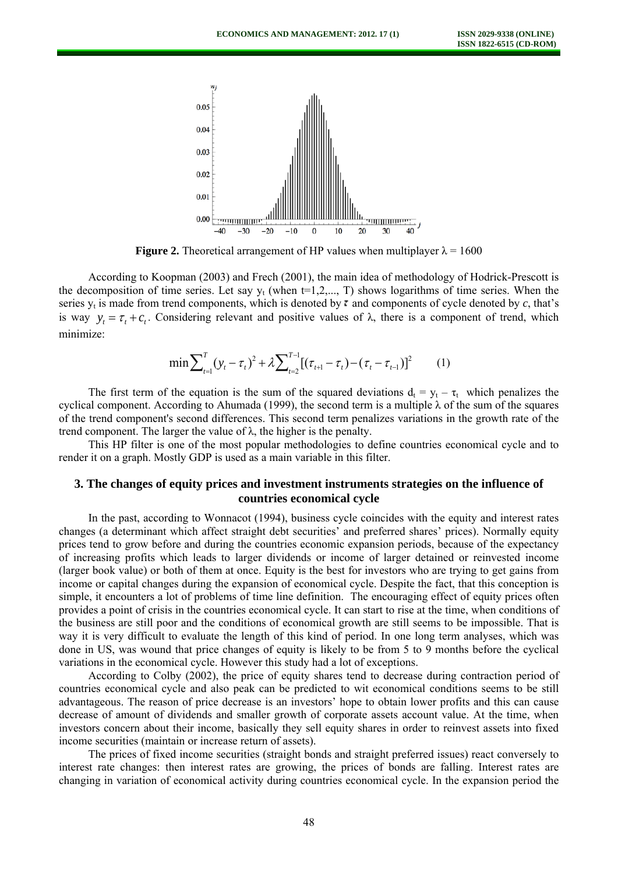

**Figure 2.** Theoretical arrangement of HP values when multiplayer  $\lambda = 1600$ 

According to Koopman (2003) and Frech (2001), the main idea of methodology of Hodrick-Prescott is the decomposition of time series. Let say  $y_t$  (when t=1,2,..., T) shows logarithms of time series. When the series  $y_t$  is made from trend components, which is denoted by  $\tau$  and components of cycle denoted by  $c$ , that's is way  $y_t = \tau_t + c_t$ . Considering relevant and positive values of  $\lambda$ , there is a component of trend, which minimize:

$$
\min \sum_{t=1}^{T} (\mathbf{y}_t - \tau_t)^2 + \lambda \sum_{t=2}^{T-1} [(\tau_{t+1} - \tau_t) - (\tau_t - \tau_{t-1})]^2 \tag{1}
$$

The first term of the equation is the sum of the squared deviations  $d_t = y_t - \tau_t$  which penalizes the cyclical component. According to Ahumada (1999), the second term is a multiple  $\lambda$  of the sum of the squares of the trend component's second differences. This second term penalizes variations in the growth rate of the trend component. The larger the value of  $\lambda$ , the higher is the penalty.

This HP filter is one of the most popular methodologies to define countries economical cycle and to render it on a graph. Mostly GDP is used as a main variable in this filter.

## **3. The changes of equity prices and investment instruments strategies on the influence of countries economical cycle**

In the past, according to Wonnacot (1994), business cycle coincides with the equity and interest rates changes (a determinant which affect straight debt securities' and preferred shares' prices). Normally equity prices tend to grow before and during the countries economic expansion periods, because of the expectancy of increasing profits which leads to larger dividends or income of larger detained or reinvested income (larger book value) or both of them at once. Equity is the best for investors who are trying to get gains from income or capital changes during the expansion of economical cycle. Despite the fact, that this conception is simple, it encounters a lot of problems of time line definition. The encouraging effect of equity prices often provides a point of crisis in the countries economical cycle. It can start to rise at the time, when conditions of the business are still poor and the conditions of economical growth are still seems to be impossible. That is way it is very difficult to evaluate the length of this kind of period. In one long term analyses, which was done in US, was wound that price changes of equity is likely to be from 5 to 9 months before the cyclical variations in the economical cycle. However this study had a lot of exceptions.

According to Colby (2002), the price of equity shares tend to decrease during contraction period of countries economical cycle and also peak can be predicted to wit economical conditions seems to be still advantageous. The reason of price decrease is an investors' hope to obtain lower profits and this can cause decrease of amount of dividends and smaller growth of corporate assets account value. At the time, when investors concern about their income, basically they sell equity shares in order to reinvest assets into fixed income securities (maintain or increase return of assets).

The prices of fixed income securities (straight bonds and straight preferred issues) react conversely to interest rate changes: then interest rates are growing, the prices of bonds are falling. Interest rates are changing in variation of economical activity during countries economical cycle. In the expansion period the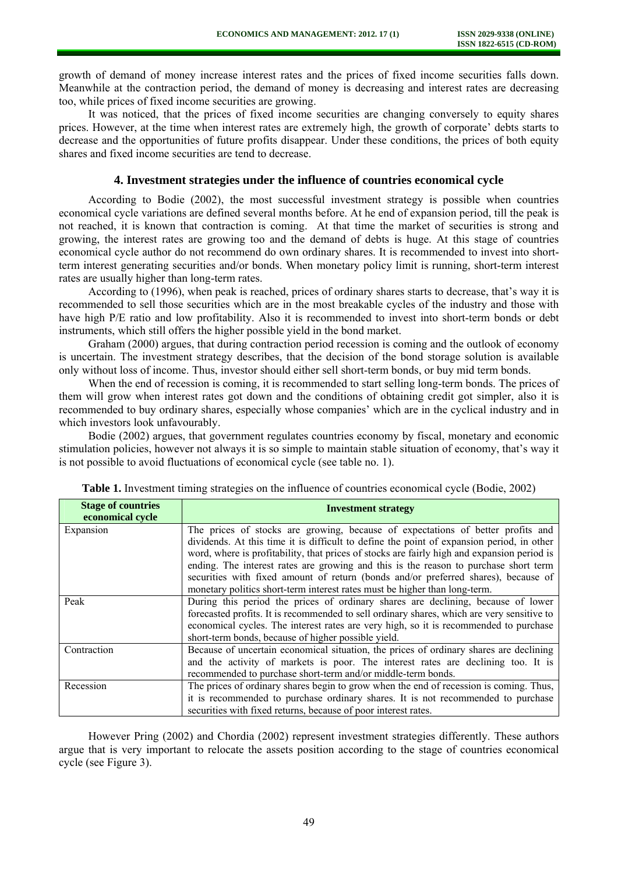growth of demand of money increase interest rates and the prices of fixed income securities falls down. Meanwhile at the contraction period, the demand of money is decreasing and interest rates are decreasing too, while prices of fixed income securities are growing.

It was noticed, that the prices of fixed income securities are changing conversely to equity shares prices. However, at the time when interest rates are extremely high, the growth of corporate' debts starts to decrease and the opportunities of future profits disappear. Under these conditions, the prices of both equity shares and fixed income securities are tend to decrease.

### **4. Investment strategies under the influence of countries economical cycle**

According to Bodie (2002), the most successful investment strategy is possible when countries economical cycle variations are defined several months before. At he end of expansion period, till the peak is not reached, it is known that contraction is coming. At that time the market of securities is strong and growing, the interest rates are growing too and the demand of debts is huge. At this stage of countries economical cycle author do not recommend do own ordinary shares. It is recommended to invest into shortterm interest generating securities and/or bonds. When monetary policy limit is running, short-term interest rates are usually higher than long-term rates.

According to (1996), when peak is reached, prices of ordinary shares starts to decrease, that's way it is recommended to sell those securities which are in the most breakable cycles of the industry and those with have high P/E ratio and low profitability. Also it is recommended to invest into short-term bonds or debt instruments, which still offers the higher possible yield in the bond market.

Graham (2000) argues, that during contraction period recession is coming and the outlook of economy is uncertain. The investment strategy describes, that the decision of the bond storage solution is available only without loss of income. Thus, investor should either sell short-term bonds, or buy mid term bonds.

When the end of recession is coming, it is recommended to start selling long-term bonds. The prices of them will grow when interest rates got down and the conditions of obtaining credit got simpler, also it is recommended to buy ordinary shares, especially whose companies' which are in the cyclical industry and in which investors look unfavourably.

Bodie (2002) argues, that government regulates countries economy by fiscal, monetary and economic stimulation policies, however not always it is so simple to maintain stable situation of economy, that's way it is not possible to avoid fluctuations of economical cycle (see table no. 1).

| <b>Stage of countries</b><br>economical cycle | <b>Investment strategy</b>                                                                                                                                                                                                                                                                                                                                          |  |  |  |
|-----------------------------------------------|---------------------------------------------------------------------------------------------------------------------------------------------------------------------------------------------------------------------------------------------------------------------------------------------------------------------------------------------------------------------|--|--|--|
| Expansion                                     | The prices of stocks are growing, because of expectations of better profits and<br>dividends. At this time it is difficult to define the point of expansion period, in other<br>word, where is profitability, that prices of stocks are fairly high and expansion period is<br>ending. The interest rates are growing and this is the reason to purchase short term |  |  |  |
|                                               | securities with fixed amount of return (bonds and/or preferred shares), because of<br>monetary politics short-term interest rates must be higher than long-term.                                                                                                                                                                                                    |  |  |  |
| Peak                                          | During this period the prices of ordinary shares are declining, because of lower<br>forecasted profits. It is recommended to sell ordinary shares, which are very sensitive to<br>economical cycles. The interest rates are very high, so it is recommended to purchase<br>short-term bonds, because of higher possible yield.                                      |  |  |  |
| Contraction                                   | Because of uncertain economical situation, the prices of ordinary shares are declining<br>and the activity of markets is poor. The interest rates are declining too. It is<br>recommended to purchase short-term and/or middle-term bonds.                                                                                                                          |  |  |  |
| Recession                                     | The prices of ordinary shares begin to grow when the end of recession is coming. Thus,<br>it is recommended to purchase ordinary shares. It is not recommended to purchase<br>securities with fixed returns, because of poor interest rates.                                                                                                                        |  |  |  |

**Table 1.** Investment timing strategies on the influence of countries economical cycle (Bodie, 2002)

However Pring (2002) and Chordia (2002) represent investment strategies differently. These authors argue that is very important to relocate the assets position according to the stage of countries economical cycle (see Figure 3).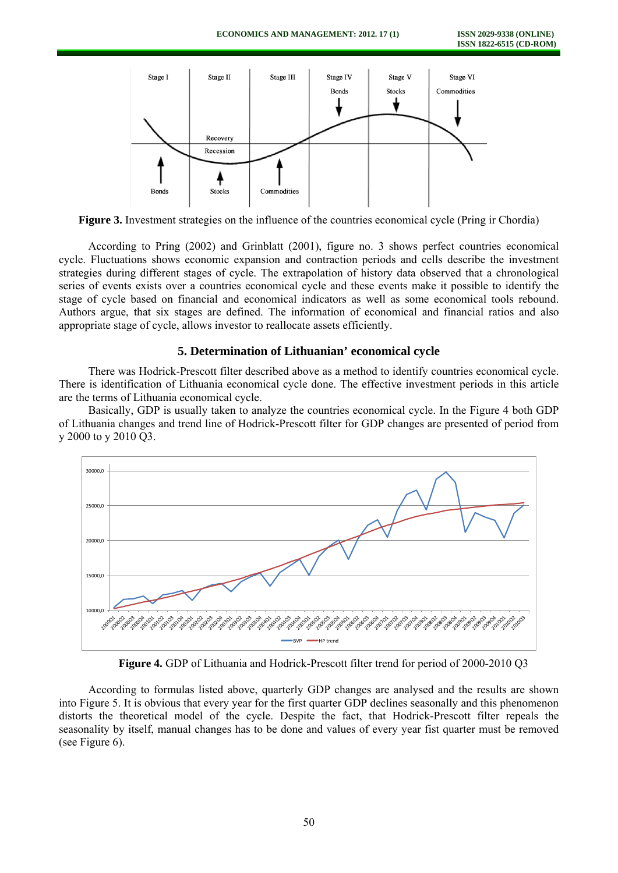

**Figure 3.** Investment strategies on the influence of the countries economical cycle (Pring ir Chordia)

According to Pring (2002) and Grinblatt (2001), figure no. 3 shows perfect countries economical cycle. Fluctuations shows economic expansion and contraction periods and cells describe the investment strategies during different stages of cycle. The extrapolation of history data observed that a chronological series of events exists over a countries economical cycle and these events make it possible to identify the stage of cycle based on financial and economical indicators as well as some economical tools rebound. Authors argue, that six stages are defined. The information of economical and financial ratios and also appropriate stage of cycle, allows investor to reallocate assets efficiently.

### **5. Determination of Lithuanian' economical cycle**

There was Hodrick-Prescott filter described above as a method to identify countries economical cycle. There is identification of Lithuania economical cycle done. The effective investment periods in this article are the terms of Lithuania economical cycle.

Basically, GDP is usually taken to analyze the countries economical cycle. In the Figure 4 both GDP of Lithuania changes and trend line of Hodrick-Prescott filter for GDP changes are presented of period from y 2000 to y 2010 Q3.



**Figure 4.** GDP of Lithuania and Hodrick-Prescott filter trend for period of 2000-2010 Q3

According to formulas listed above, quarterly GDP changes are analysed and the results are shown into Figure 5. It is obvious that every year for the first quarter GDP declines seasonally and this phenomenon distorts the theoretical model of the cycle. Despite the fact, that Hodrick-Prescott filter repeals the seasonality by itself, manual changes has to be done and values of every year fist quarter must be removed (see Figure 6).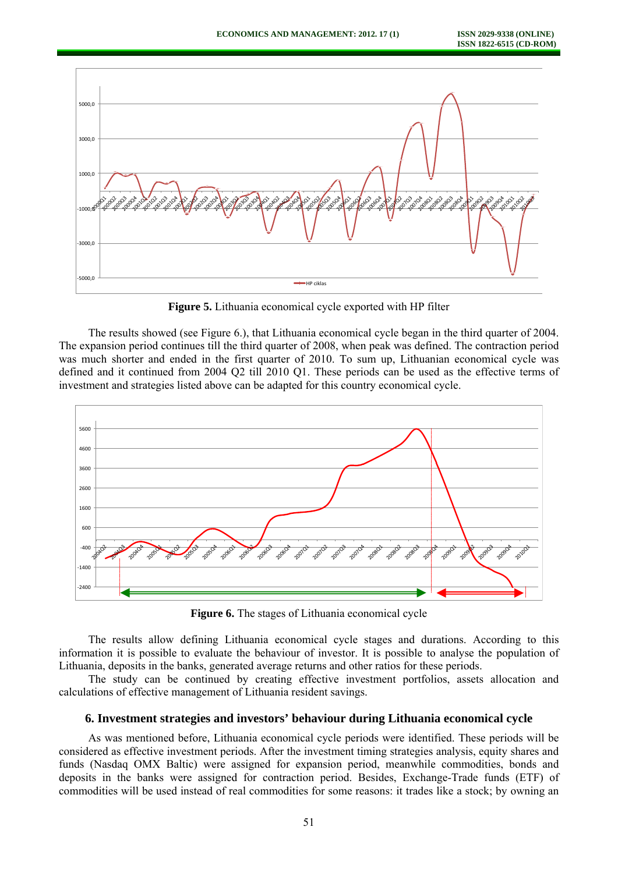

**Figure 5.** Lithuania economical cycle exported with HP filter

The results showed (see Figure 6.), that Lithuania economical cycle began in the third quarter of 2004. The expansion period continues till the third quarter of 2008, when peak was defined. The contraction period was much shorter and ended in the first quarter of 2010. To sum up, Lithuanian economical cycle was defined and it continued from 2004 Q2 till 2010 Q1. These periods can be used as the effective terms of investment and strategies listed above can be adapted for this country economical cycle.



**Figure 6.** The stages of Lithuania economical cycle

The results allow defining Lithuania economical cycle stages and durations. According to this information it is possible to evaluate the behaviour of investor. It is possible to analyse the population of Lithuania, deposits in the banks, generated average returns and other ratios for these periods.

The study can be continued by creating effective investment portfolios, assets allocation and calculations of effective management of Lithuania resident savings.

### **6. Investment strategies and investors' behaviour during Lithuania economical cycle**

As was mentioned before, Lithuania economical cycle periods were identified. These periods will be considered as effective investment periods. After the investment timing strategies analysis, equity shares and funds (Nasdaq OMX Baltic) were assigned for expansion period, meanwhile commodities, bonds and deposits in the banks were assigned for contraction period. Besides, Exchange-Trade funds (ETF) of commodities will be used instead of real commodities for some reasons: it trades like a stock; by owning an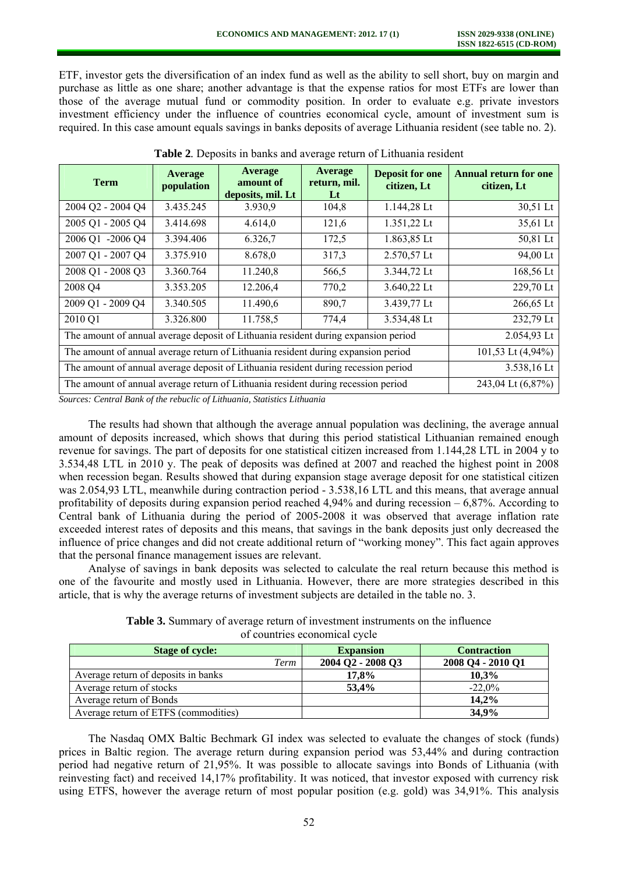ETF, investor gets the diversification of an index fund as well as the ability to sell short, buy on margin and purchase as little as one share; another advantage is that the expense ratios for most ETFs are lower than those of the average mutual fund or commodity position. In order to evaluate e.g. private investors investment efficiency under the influence of countries economical cycle, amount of investment sum is required. In this case amount equals savings in banks deposits of average Lithuania resident (see table no. 2).

| <b>Term</b>                                                                        | Average<br>population | Average<br>amount of<br>deposits, mil. Lt | Average<br>return, mil.<br>$\bf{L}t$ | <b>Deposit for one</b><br>citizen, Lt | <b>Annual return for one</b><br>citizen, Lt |
|------------------------------------------------------------------------------------|-----------------------|-------------------------------------------|--------------------------------------|---------------------------------------|---------------------------------------------|
| 2004 Q2 - 2004 Q4                                                                  | 3.435.245             | 3.930,9                                   | 104,8                                | 1.144,28 Lt                           | 30,51 Lt                                    |
| 2005 Q1 - 2005 Q4                                                                  | 3.414.698             | 4.614,0                                   | 121,6                                | 1.351,22 Lt                           | 35,61 Lt                                    |
| 2006 Q1 -2006 Q4                                                                   | 3.394.406             | 6.326,7                                   | 172,5                                | 1.863,85 Lt                           | 50,81 Lt                                    |
| 2007 Q1 - 2007 Q4                                                                  | 3.375.910             | 8.678,0                                   | 317,3                                | 2.570,57 Lt                           | 94,00 Lt                                    |
| 2008 Q1 - 2008 Q3                                                                  | 3.360.764             | 11.240,8                                  | 566,5                                | 3.344,72 Lt                           | 168,56 Lt                                   |
| 2008 Q4                                                                            | 3.353.205             | 12.206,4                                  | 770,2                                | 3.640,22 Lt                           | 229,70 Lt                                   |
| 2009 Q1 - 2009 Q4                                                                  | 3.340.505             | 11.490,6                                  | 890,7                                | 3.439,77 Lt                           | 266,65 Lt                                   |
| 2010 Q1                                                                            | 3.326.800             | 11.758,5                                  | 774,4                                | 3.534,48 Lt                           | 232,79 Lt                                   |
| The amount of annual average deposit of Lithuania resident during expansion period |                       |                                           |                                      |                                       | 2.054,93 Lt                                 |
| The amount of annual average return of Lithuania resident during expansion period  |                       |                                           |                                      |                                       | 101,53 Lt (4,94%)                           |
| The amount of annual average deposit of Lithuania resident during recession period |                       |                                           |                                      |                                       | 3.538,16 Lt                                 |
| The amount of annual average return of Lithuania resident during recession period  |                       |                                           |                                      |                                       | 243,04 Lt (6,87%)                           |

**Table 2***.* Deposits in banks and average return of Lithuania resident

*Sources: Central Bank of the rebuclic of Lithuania, Statistics Lithuania* 

The results had shown that although the average annual population was declining, the average annual amount of deposits increased, which shows that during this period statistical Lithuanian remained enough revenue for savings. The part of deposits for one statistical citizen increased from 1.144,28 LTL in 2004 y to 3.534,48 LTL in 2010 y. The peak of deposits was defined at 2007 and reached the highest point in 2008 when recession began. Results showed that during expansion stage average deposit for one statistical citizen was 2.054,93 LTL, meanwhile during contraction period - 3.538,16 LTL and this means, that average annual profitability of deposits during expansion period reached  $4.94\%$  and during recession  $-6.87\%$ . According to Central bank of Lithuania during the period of 2005-2008 it was observed that average inflation rate exceeded interest rates of deposits and this means, that savings in the bank deposits just only decreased the influence of price changes and did not create additional return of "working money". This fact again approves that the personal finance management issues are relevant.

Analyse of savings in bank deposits was selected to calculate the real return because this method is one of the favourite and mostly used in Lithuania. However, there are more strategies described in this article, that is why the average returns of investment subjects are detailed in the table no. 3.

| <b>Table 3.</b> Summary of average return of investment instruments on the influence |  |
|--------------------------------------------------------------------------------------|--|
| of countries economical cycle                                                        |  |

| <b>Stage of cycle:</b>               | <b>Expansion</b>  | <b>Contraction</b> |
|--------------------------------------|-------------------|--------------------|
| Term                                 | 2004 Q2 - 2008 Q3 | 2008 Q4 - 2010 Q1  |
| Average return of deposits in banks  | 17.8%             | $10.3\%$           |
| Average return of stocks             | 53,4%             | $-22.0%$           |
| Average return of Bonds              |                   | 14,2%              |
| Average return of ETFS (commodities) |                   | 34,9%              |

The Nasdaq OMX Baltic Bechmark GI index was selected to evaluate the changes of stock (funds) prices in Baltic region. The average return during expansion period was 53,44% and during contraction period had negative return of 21,95%. It was possible to allocate savings into Bonds of Lithuania (with reinvesting fact) and received 14,17% profitability. It was noticed, that investor exposed with currency risk using ETFS, however the average return of most popular position (e.g. gold) was 34,91%. This analysis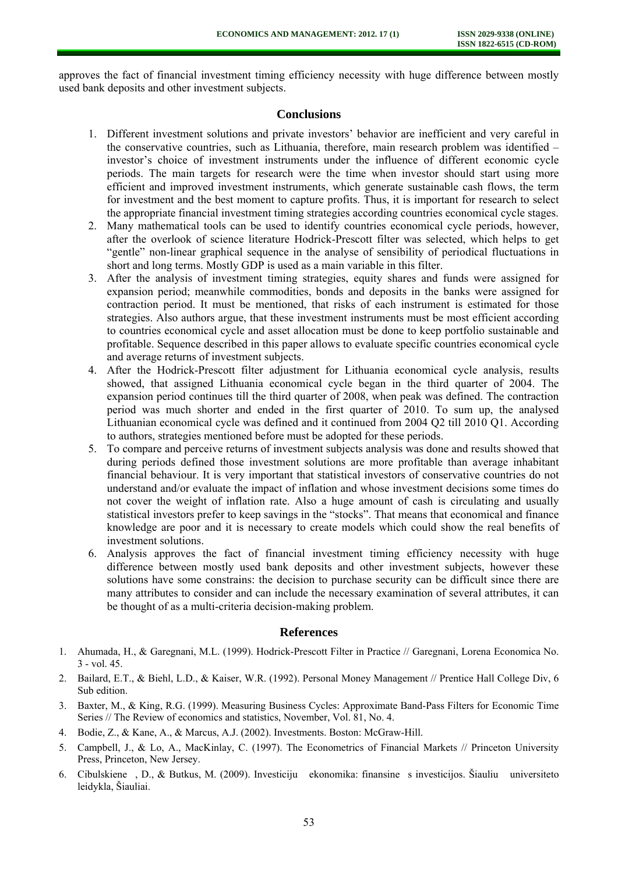approves the fact of financial investment timing efficiency necessity with huge difference between mostly used bank deposits and other investment subjects.

### **Conclusions**

- 1. Different investment solutions and private investors' behavior are inefficient and very careful in the conservative countries, such as Lithuania, therefore, main research problem was identified – investor's choice of investment instruments under the influence of different economic cycle periods. The main targets for research were the time when investor should start using more efficient and improved investment instruments, which generate sustainable cash flows, the term for investment and the best moment to capture profits. Thus, it is important for research to select the appropriate financial investment timing strategies according countries economical cycle stages.
- 2. Many mathematical tools can be used to identify countries economical cycle periods, however, after the overlook of science literature Hodrick-Prescott filter was selected, which helps to get "gentle" non-linear graphical sequence in the analyse of sensibility of periodical fluctuations in short and long terms. Mostly GDP is used as a main variable in this filter.
- 3. After the analysis of investment timing strategies, equity shares and funds were assigned for expansion period; meanwhile commodities, bonds and deposits in the banks were assigned for contraction period. It must be mentioned, that risks of each instrument is estimated for those strategies. Also authors argue, that these investment instruments must be most efficient according to countries economical cycle and asset allocation must be done to keep portfolio sustainable and profitable. Sequence described in this paper allows to evaluate specific countries economical cycle and average returns of investment subjects.
- 4. After the Hodrick-Prescott filter adjustment for Lithuania economical cycle analysis, results showed, that assigned Lithuania economical cycle began in the third quarter of 2004. The expansion period continues till the third quarter of 2008, when peak was defined. The contraction period was much shorter and ended in the first quarter of 2010. To sum up, the analysed Lithuanian economical cycle was defined and it continued from 2004 Q2 till 2010 Q1. According to authors, strategies mentioned before must be adopted for these periods.
- 5. To compare and perceive returns of investment subjects analysis was done and results showed that during periods defined those investment solutions are more profitable than average inhabitant financial behaviour. It is very important that statistical investors of conservative countries do not understand and/or evaluate the impact of inflation and whose investment decisions some times do not cover the weight of inflation rate. Also a huge amount of cash is circulating and usually statistical investors prefer to keep savings in the "stocks". That means that economical and finance knowledge are poor and it is necessary to create models which could show the real benefits of investment solutions.
- 6. Analysis approves the fact of financial investment timing efficiency necessity with huge difference between mostly used bank deposits and other investment subjects, however these solutions have some constrains: the decision to purchase security can be difficult since there are many attributes to consider and can include the necessary examination of several attributes, it can be thought of as a multi-criteria decision-making problem.

#### **References**

- 1. Ahumada, H., & Garegnani, M.L. (1999). Hodrick-Prescott Filter in Practice // Garegnani, Lorena Economica No. 3 - vol. 45.
- 2. Bailard, E.T., & Biehl, L.D., & Kaiser, W.R. (1992). Personal Money Management // Prentice Hall College Div, 6 Sub edition.
- 3. Baxter, M., & King, R.G. (1999). Measuring Business Cycles: Approximate Band-Pass Filters for Economic Time Series // The Review of economics and statistics, November, Vol. 81, No. 4.
- 4. Bodie, Z., & Kane, A., & Marcus, A.J. (2002). Investments. Boston: McGraw-Hill.
- 5. Campbell, J., & Lo, A., MacKinlay, C. (1997). The Econometrics of Financial Markets // Princeton University Press, Princeton, New Jersey.
- 6. Cibulskiene, D., & Butkus, M. (2009). Investiciju ekonomika: finansines investicijos. Šiauliu universiteto leidykla, Šiauliai.